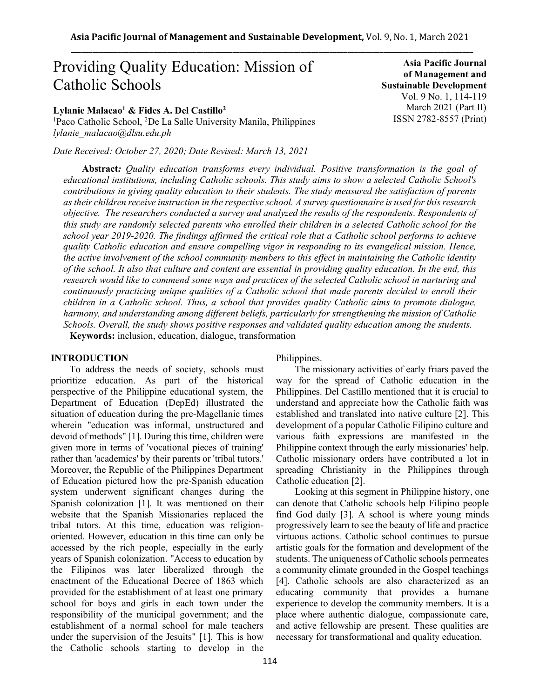# Providing Quality Education: Mission of Catholic Schools

# **Lylanie Malacao<sup>1</sup> & Fides A. Del Castillo<sup>2</sup>**

<sup>1</sup>Paco Catholic School, <sup>2</sup>De La Salle University Manila, Philippines *lylanie\_malacao@dlsu.edu.ph*

*Date Received: October 27, 2020; Date Revised: March 13, 2021*

**Abstract***: Quality education transforms every individual. Positive transformation is the goal of educational institutions, including Catholic schools. This study aims to show a selected Catholic School's contributions in giving quality education to their students. The study measured the satisfaction of parents as their children receive instruction in the respective school. A survey questionnaire is used for this research objective. The researchers conducted a survey and analyzed the results of the respondents. Respondents of this study are randomly selected parents who enrolled their children in a selected Catholic school for the school year 2019-2020. The findings affirmed the critical role that a Catholic school performs to achieve quality Catholic education and ensure compelling vigor in responding to its evangelical mission. Hence, the active involvement of the school community members to this effect in maintaining the Catholic identity of the school. It also that culture and content are essential in providing quality education. In the end, this research would like to commend some ways and practices of the selected Catholic school in nurturing and continuously practicing unique qualities of a Catholic school that made parents decided to enroll their children in a Catholic school. Thus, a school that provides quality Catholic aims to promote dialogue, harmony, and understanding among different beliefs, particularly for strengthening the mission of Catholic Schools. Overall, the study shows positive responses and validated quality education among the students.*  **Keywords:** inclusion, education, dialogue, transformation

# **INTRODUCTION**

To address the needs of society, schools must prioritize education. As part of the historical perspective of the Philippine educational system, the Department of Education (DepEd) illustrated the situation of education during the pre-Magellanic times wherein "education was informal, unstructured and devoid of methods" [1]. During this time, children were given more in terms of 'vocational pieces of training' rather than 'academics' by their parents or 'tribal tutors.' Moreover, the Republic of the Philippines Department of Education pictured how the pre-Spanish education system underwent significant changes during the Spanish colonization [1]. It was mentioned on their website that the Spanish Missionaries replaced the tribal tutors. At this time, education was religionoriented. However, education in this time can only be accessed by the rich people, especially in the early years of Spanish colonization. "Access to education by the Filipinos was later liberalized through the enactment of the Educational Decree of 1863 which provided for the establishment of at least one primary school for boys and girls in each town under the responsibility of the municipal government; and the establishment of a normal school for male teachers under the supervision of the Jesuits" [1]. This is how the Catholic schools starting to develop in the

Philippines.

The missionary activities of early friars paved the way for the spread of Catholic education in the Philippines. Del Castillo mentioned that it is crucial to understand and appreciate how the Catholic faith was established and translated into native culture [2]. This development of a popular Catholic Filipino culture and various faith expressions are manifested in the Philippine context through the early missionaries' help. Catholic missionary orders have contributed a lot in spreading Christianity in the Philippines through Catholic education [2].

Looking at this segment in Philippine history, one can denote that Catholic schools help Filipino people find God daily [3]. A school is where young minds progressively learn to see the beauty of life and practice virtuous actions. Catholic school continues to pursue artistic goals for the formation and development of the students. The uniqueness of Catholic schools permeates a community climate grounded in the Gospel teachings [4]. Catholic schools are also characterized as an educating community that provides a humane experience to develop the community members. It is a place where authentic dialogue, compassionate care, and active fellowship are present. These qualities are necessary for transformational and quality education.

**Asia Pacific Journal of Management and Sustainable Development**  Vol. 9 No. 1, 114-119 March 2021 (Part II) ISSN 2782-8557 (Print)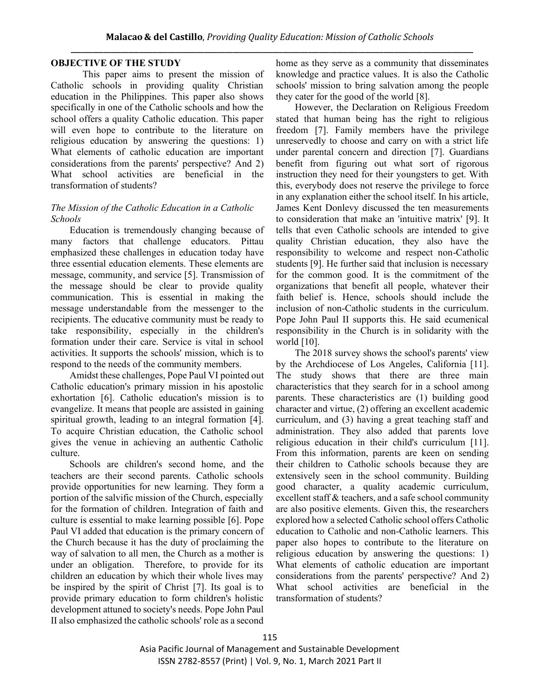# **OBJECTIVE OF THE STUDY**

This paper aims to present the mission of Catholic schools in providing quality Christian education in the Philippines. This paper also shows specifically in one of the Catholic schools and how the school offers a quality Catholic education. This paper will even hope to contribute to the literature on religious education by answering the questions: 1) What elements of catholic education are important considerations from the parents' perspective? And 2) What school activities are beneficial in the transformation of students?

## *The Mission of the Catholic Education in a Catholic Schools*

Education is tremendously changing because of many factors that challenge educators. Pittau emphasized these challenges in education today have three essential education elements. These elements are message, community, and service [5]. Transmission of the message should be clear to provide quality communication. This is essential in making the message understandable from the messenger to the recipients. The educative community must be ready to take responsibility, especially in the children's formation under their care. Service is vital in school activities. It supports the schools' mission, which is to respond to the needs of the community members.

Amidst these challenges, Pope Paul VI pointed out Catholic education's primary mission in his apostolic exhortation [6]. Catholic education's mission is to evangelize. It means that people are assisted in gaining spiritual growth, leading to an integral formation [4]. To acquire Christian education, the Catholic school gives the venue in achieving an authentic Catholic culture.

Schools are children's second home, and the teachers are their second parents. Catholic schools provide opportunities for new learning. They form a portion of the salvific mission of the Church, especially for the formation of children. Integration of faith and culture is essential to make learning possible [6]. Pope Paul VI added that education is the primary concern of the Church because it has the duty of proclaiming the way of salvation to all men, the Church as a mother is under an obligation. Therefore, to provide for its children an education by which their whole lives may be inspired by the spirit of Christ [7]. Its goal is to provide primary education to form children's holistic development attuned to society's needs. Pope John Paul II also emphasized the catholic schools' role as a second

home as they serve as a community that disseminates knowledge and practice values. It is also the Catholic schools' mission to bring salvation among the people they cater for the good of the world [8].

However, the Declaration on Religious Freedom stated that human being has the right to religious freedom [7]. Family members have the privilege unreservedly to choose and carry on with a strict life under parental concern and direction [7]. Guardians benefit from figuring out what sort of rigorous instruction they need for their youngsters to get. With this, everybody does not reserve the privilege to force in any explanation either the school itself. In his article, James Kent Donlevy discussed the ten measurements to consideration that make an 'intuitive matrix' [9]. It tells that even Catholic schools are intended to give quality Christian education, they also have the responsibility to welcome and respect non-Catholic students [9]. He further said that inclusion is necessary for the common good. It is the commitment of the organizations that benefit all people, whatever their faith belief is. Hence, schools should include the inclusion of non-Catholic students in the curriculum. Pope John Paul II supports this. He said ecumenical responsibility in the Church is in solidarity with the world [10].

The 2018 survey shows the school's parents' view by the Archdiocese of Los Angeles, California [11]. The study shows that there are three main characteristics that they search for in a school among parents. These characteristics are (1) building good character and virtue, (2) offering an excellent academic curriculum, and (3) having a great teaching staff and administration. They also added that parents love religious education in their child's curriculum [11]. From this information, parents are keen on sending their children to Catholic schools because they are extensively seen in the school community. Building good character, a quality academic curriculum, excellent staff & teachers, and a safe school community are also positive elements. Given this, the researchers explored how a selected Catholic school offers Catholic education to Catholic and non-Catholic learners. This paper also hopes to contribute to the literature on religious education by answering the questions: 1) What elements of catholic education are important considerations from the parents' perspective? And 2) What school activities are beneficial in the transformation of students?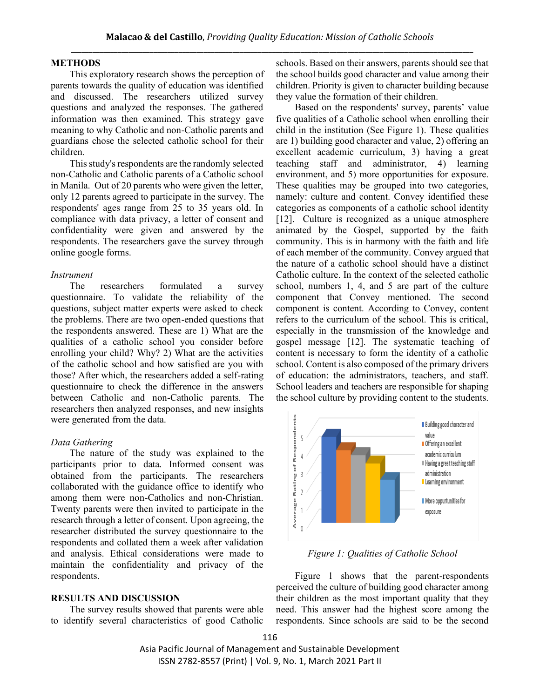#### **METHODS**

This exploratory research shows the perception of parents towards the quality of education was identified and discussed. The researchers utilized survey questions and analyzed the responses. The gathered information was then examined. This strategy gave meaning to why Catholic and non-Catholic parents and guardians chose the selected catholic school for their children.

This study's respondents are the randomly selected non-Catholic and Catholic parents of a Catholic school in Manila. Out of 20 parents who were given the letter, only 12 parents agreed to participate in the survey. The respondents' ages range from 25 to 35 years old. In compliance with data privacy, a letter of consent and confidentiality were given and answered by the respondents. The researchers gave the survey through online google forms.

#### *Instrument*

The researchers formulated a survey questionnaire. To validate the reliability of the questions, subject matter experts were asked to check the problems. There are two open-ended questions that the respondents answered. These are 1) What are the qualities of a catholic school you consider before enrolling your child? Why? 2) What are the activities of the catholic school and how satisfied are you with those? After which, the researchers added a self-rating questionnaire to check the difference in the answers between Catholic and non-Catholic parents. The researchers then analyzed responses, and new insights were generated from the data.

#### *Data Gathering*

The nature of the study was explained to the participants prior to data. Informed consent was obtained from the participants. The researchers collaborated with the guidance office to identify who among them were non-Catholics and non-Christian. Twenty parents were then invited to participate in the research through a letter of consent. Upon agreeing, the researcher distributed the survey questionnaire to the respondents and collated them a week after validation and analysis. Ethical considerations were made to maintain the confidentiality and privacy of the respondents.

#### **RESULTS AND DISCUSSION**

The survey results showed that parents were able to identify several characteristics of good Catholic schools. Based on their answers, parents should see that the school builds good character and value among their children. Priority is given to character building because they value the formation of their children.

Based on the respondents' survey, parents' value five qualities of a Catholic school when enrolling their child in the institution (See Figure 1). These qualities are 1) building good character and value, 2) offering an excellent academic curriculum, 3) having a great teaching staff and administrator, 4) learning environment, and 5) more opportunities for exposure. These qualities may be grouped into two categories, namely: culture and content. Convey identified these categories as components of a catholic school identity [12]. Culture is recognized as a unique atmosphere animated by the Gospel, supported by the faith community. This is in harmony with the faith and life of each member of the community. Convey argued that the nature of a catholic school should have a distinct Catholic culture. In the context of the selected catholic school, numbers 1, 4, and 5 are part of the culture component that Convey mentioned. The second component is content. According to Convey, content refers to the curriculum of the school. This is critical, especially in the transmission of the knowledge and gospel message [12]. The systematic teaching of content is necessary to form the identity of a catholic school. Content is also composed of the primary drivers of education: the administrators, teachers, and staff. School leaders and teachers are responsible for shaping the school culture by providing content to the students.



*Figure 1: Qualities of Catholic School*

Figure 1 shows that the parent-respondents perceived the culture of building good character among their children as the most important quality that they need. This answer had the highest score among the respondents. Since schools are said to be the second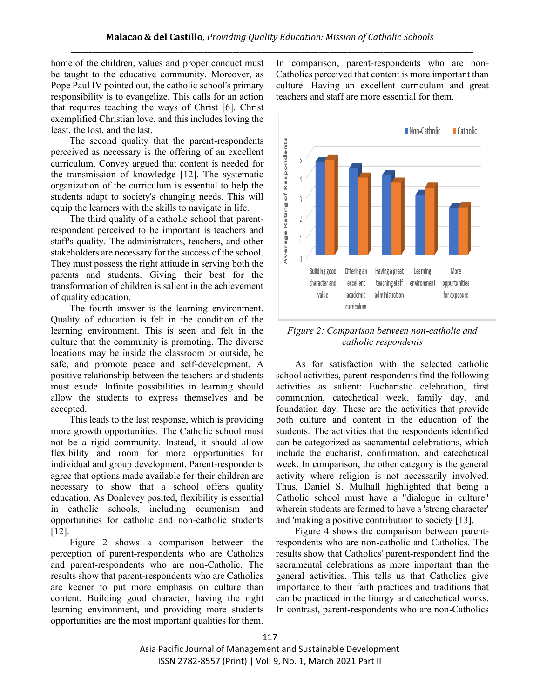home of the children, values and proper conduct must be taught to the educative community. Moreover, as Pope Paul IV pointed out, the catholic school's primary responsibility is to evangelize. This calls for an action that requires teaching the ways of Christ [6]. Christ exemplified Christian love, and this includes loving the least, the lost, and the last.

The second quality that the parent-respondents perceived as necessary is the offering of an excellent curriculum. Convey argued that content is needed for the transmission of knowledge [12]. The systematic organization of the curriculum is essential to help the students adapt to society's changing needs. This will equip the learners with the skills to navigate in life.

The third quality of a catholic school that parentrespondent perceived to be important is teachers and staff's quality. The administrators, teachers, and other stakeholders are necessary for the success of the school. They must possess the right attitude in serving both the parents and students. Giving their best for the transformation of children is salient in the achievement of quality education.

The fourth answer is the learning environment. Quality of education is felt in the condition of the learning environment. This is seen and felt in the culture that the community is promoting. The diverse locations may be inside the classroom or outside, be safe, and promote peace and self-development. A positive relationship between the teachers and students must exude. Infinite possibilities in learning should allow the students to express themselves and be accepted.

This leads to the last response, which is providing more growth opportunities. The Catholic school must not be a rigid community. Instead, it should allow flexibility and room for more opportunities for individual and group development. Parent-respondents agree that options made available for their children are necessary to show that a school offers quality education. As Donlevey posited, flexibility is essential in catholic schools, including ecumenism and opportunities for catholic and non-catholic students [12].

Figure 2 shows a comparison between the perception of parent-respondents who are Catholics and parent-respondents who are non-Catholic. The results show that parent-respondents who are Catholics are keener to put more emphasis on culture than content. Building good character, having the right learning environment, and providing more students opportunities are the most important qualities for them. In comparison, parent-respondents who are non-Catholics perceived that content is more important than culture. Having an excellent curriculum and great teachers and staff are more essential for them.



*Figure 2: Comparison between non-catholic and catholic respondents*

As for satisfaction with the selected catholic school activities, parent-respondents find the following activities as salient: Eucharistic celebration, first communion, catechetical week, family day, and foundation day. These are the activities that provide both culture and content in the education of the students. The activities that the respondents identified can be categorized as sacramental celebrations, which include the eucharist, confirmation, and catechetical week. In comparison, the other category is the general activity where religion is not necessarily involved. Thus, Daniel S. Mulhall highlighted that being a Catholic school must have a "dialogue in culture" wherein students are formed to have a 'strong character' and 'making a positive contribution to society [13].

Figure 4 shows the comparison between parentrespondents who are non-catholic and Catholics. The results show that Catholics' parent-respondent find the sacramental celebrations as more important than the general activities. This tells us that Catholics give importance to their faith practices and traditions that can be practiced in the liturgy and catechetical works. In contrast, parent-respondents who are non-Catholics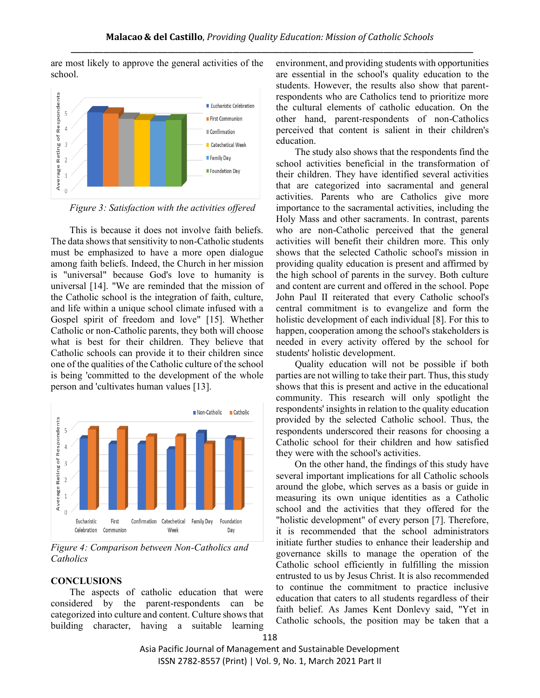are most likely to approve the general activities of the school.



*Figure 3: Satisfaction with the activities offered*

This is because it does not involve faith beliefs. The data shows that sensitivity to non-Catholic students must be emphasized to have a more open dialogue among faith beliefs. Indeed, the Church in her mission is "universal" because God's love to humanity is universal [14]. "We are reminded that the mission of the Catholic school is the integration of faith, culture, and life within a unique school climate infused with a Gospel spirit of freedom and love" [15]. Whether Catholic or non-Catholic parents, they both will choose what is best for their children. They believe that Catholic schools can provide it to their children since one of the qualities of the Catholic culture of the school is being 'committed to the development of the whole person and 'cultivates human values [13].



*Figure 4: Comparison between Non-Catholics and Catholics*

# **CONCLUSIONS**

The aspects of catholic education that were considered by the parent-respondents can be categorized into culture and content. Culture shows that building character, having a suitable learning environment, and providing students with opportunities are essential in the school's quality education to the students. However, the results also show that parentrespondents who are Catholics tend to prioritize more the cultural elements of catholic education. On the other hand, parent-respondents of non-Catholics perceived that content is salient in their children's education.

The study also shows that the respondents find the school activities beneficial in the transformation of their children. They have identified several activities that are categorized into sacramental and general activities. Parents who are Catholics give more importance to the sacramental activities, including the Holy Mass and other sacraments. In contrast, parents who are non-Catholic perceived that the general activities will benefit their children more. This only shows that the selected Catholic school's mission in providing quality education is present and affirmed by the high school of parents in the survey. Both culture and content are current and offered in the school. Pope John Paul II reiterated that every Catholic school's central commitment is to evangelize and form the holistic development of each individual [8]. For this to happen, cooperation among the school's stakeholders is needed in every activity offered by the school for students' holistic development.

Quality education will not be possible if both parties are not willing to take their part. Thus, this study shows that this is present and active in the educational community. This research will only spotlight the respondents' insights in relation to the quality education provided by the selected Catholic school. Thus, the respondents underscored their reasons for choosing a Catholic school for their children and how satisfied they were with the school's activities.

On the other hand, the findings of this study have several important implications for all Catholic schools around the globe, which serves as a basis or guide in measuring its own unique identities as a Catholic school and the activities that they offered for the "holistic development" of every person [7]. Therefore, it is recommended that the school administrators initiate further studies to enhance their leadership and governance skills to manage the operation of the Catholic school efficiently in fulfilling the mission entrusted to us by Jesus Christ. It is also recommended to continue the commitment to practice inclusive education that caters to all students regardless of their faith belief. As James Kent Donlevy said, "Yet in Catholic schools, the position may be taken that a